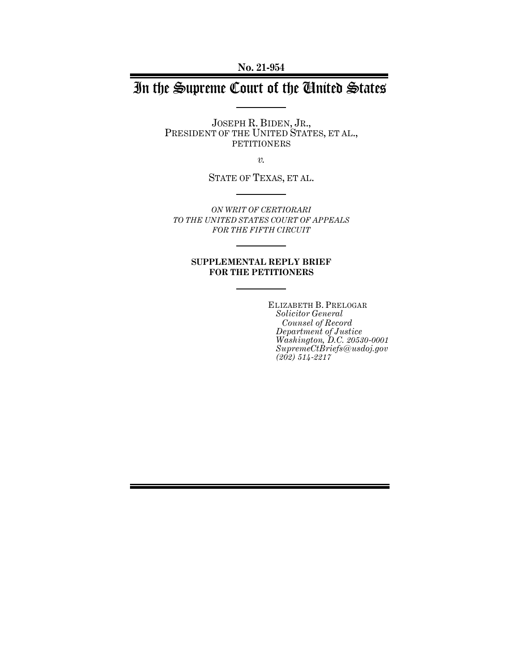**No. 21-954**

# In the Supreme Court of the United States

JOSEPH R. BIDEN, JR., PRESIDENT OF THE UNITED STATES, ET AL., PETITIONERS

*v.*

STATE OF TEXAS, ET AL.

*ON WRIT OF CERTIORARI TO THE UNITED STATES COURT OF APPEALS FOR THE FIFTH CIRCUIT* 

#### **SUPPLEMENTAL REPLY BRIEF FOR THE PETITIONERS**

ELIZABETH B. PRELOGAR *Solicitor General Counsel of Record Department of Justice Washington, D.C. 20530-0001 SupremeCtBriefs@usdoj.gov (202) 514-2217*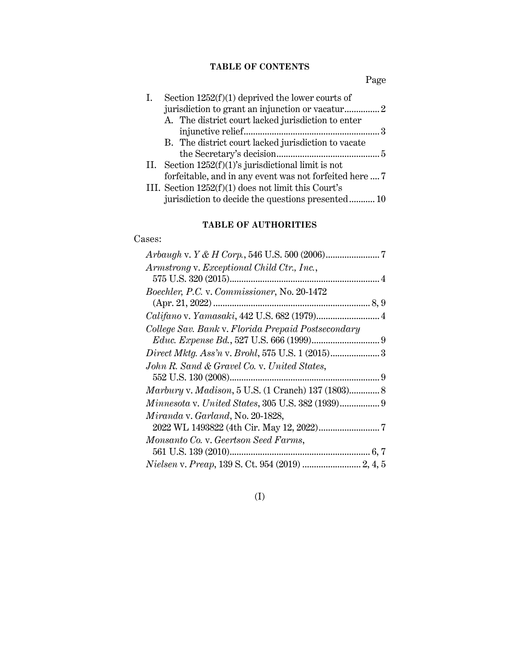# **TABLE OF CONTENTS**

Page

| Section $1252(f)(1)$ deprived the lower courts of       |
|---------------------------------------------------------|
|                                                         |
| A. The district court lacked jurisdiction to enter      |
|                                                         |
| B. The district court lacked jurisdiction to vacate     |
|                                                         |
| II. Section $1252(f)(1)$ 's jurisdictional limit is not |
| forfeitable, and in any event was not forfeited here  7 |
| III. Section $1252(f)(1)$ does not limit this Court's   |
| jurisdiction to decide the questions presented10        |
|                                                         |

# **TABLE OF AUTHORITIES**

# Cases:

| Armstrong v. Exceptional Child Ctr., Inc.,         |
|----------------------------------------------------|
|                                                    |
| Boechler, P.C. v. Commissioner, No. 20-1472        |
|                                                    |
|                                                    |
| College Sav. Bank v. Florida Prepaid Postsecondary |
|                                                    |
|                                                    |
| John R. Sand & Gravel Co. v. United States,        |
|                                                    |
| Marbury v. Madison, 5 U.S. (1 Cranch) 137 (1803) 8 |
| Minnesota v. United States, 305 U.S. 382 (1939) 9  |
| Miranda v. Garland, No. 20-1828,                   |
|                                                    |
| Monsanto Co. v. Geertson Seed Farms,               |
|                                                    |
|                                                    |

(I)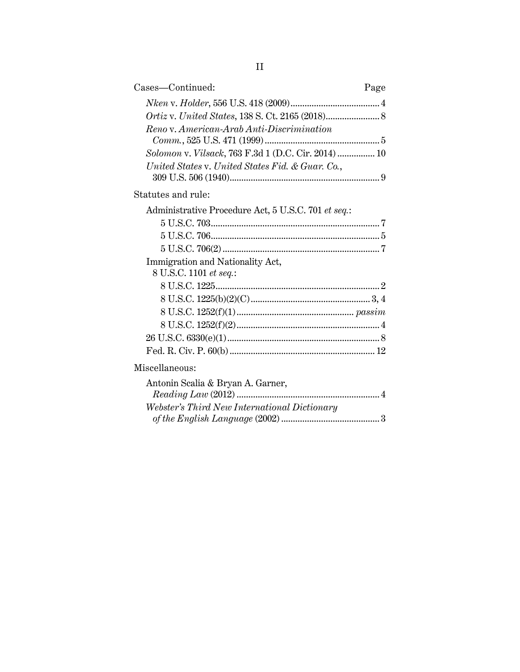| Cases—Continued:                                    |  |  |
|-----------------------------------------------------|--|--|
|                                                     |  |  |
|                                                     |  |  |
| Reno v. American-Arab Anti-Discrimination           |  |  |
|                                                     |  |  |
| Solomon v. Vilsack, 763 F.3d 1 (D.C. Cir. 2014)  10 |  |  |
| United States v. United States Fid. & Guar. Co.,    |  |  |
|                                                     |  |  |
| Statutes and rule:                                  |  |  |
| Administrative Procedure Act, 5 U.S.C. 701 et seq.: |  |  |
|                                                     |  |  |
|                                                     |  |  |
|                                                     |  |  |
| Immigration and Nationality Act,                    |  |  |
| 8 U.S.C. 1101 et seq.:                              |  |  |
|                                                     |  |  |
|                                                     |  |  |
|                                                     |  |  |
|                                                     |  |  |
|                                                     |  |  |
|                                                     |  |  |
| Miscellaneous:                                      |  |  |
| Antonin Scalia & Bryan A. Garner,                   |  |  |
|                                                     |  |  |
| Webster's Third New International Dictionary        |  |  |
|                                                     |  |  |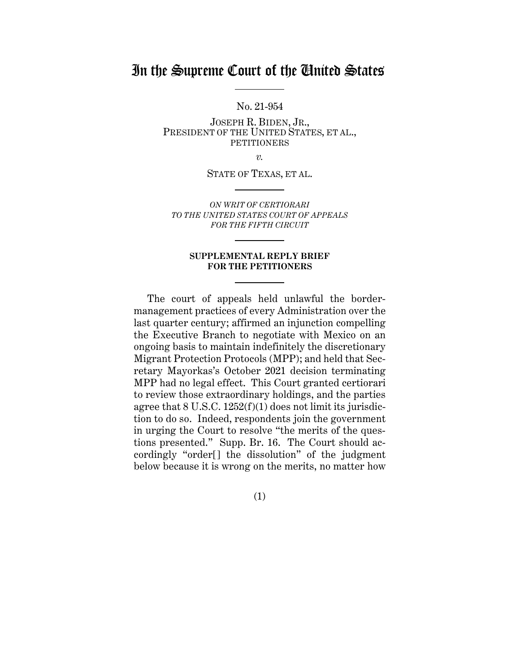# In the Supreme Court of the United States

No. 21-954

JOSEPH R. BIDEN, JR., PRESIDENT OF THE UNITED STATES, ET AL., **PETITIONERS** 

*v.*

STATE OF TEXAS, ET AL.

*ON WRIT OF CERTIORARI TO THE UNITED STATES COURT OF APPEALS FOR THE FIFTH CIRCUIT* 

#### **SUPPLEMENTAL REPLY BRIEF FOR THE PETITIONERS**

The court of appeals held unlawful the bordermanagement practices of every Administration over the last quarter century; affirmed an injunction compelling the Executive Branch to negotiate with Mexico on an ongoing basis to maintain indefinitely the discretionary Migrant Protection Protocols (MPP); and held that Secretary Mayorkas's October 2021 decision terminating MPP had no legal effect. This Court granted certiorari to review those extraordinary holdings, and the parties agree that 8 U.S.C. 1252(f)(1) does not limit its jurisdiction to do so. Indeed, respondents join the government in urging the Court to resolve "the merits of the questions presented." Supp. Br. 16. The Court should accordingly "order[] the dissolution" of the judgment below because it is wrong on the merits, no matter how

(1)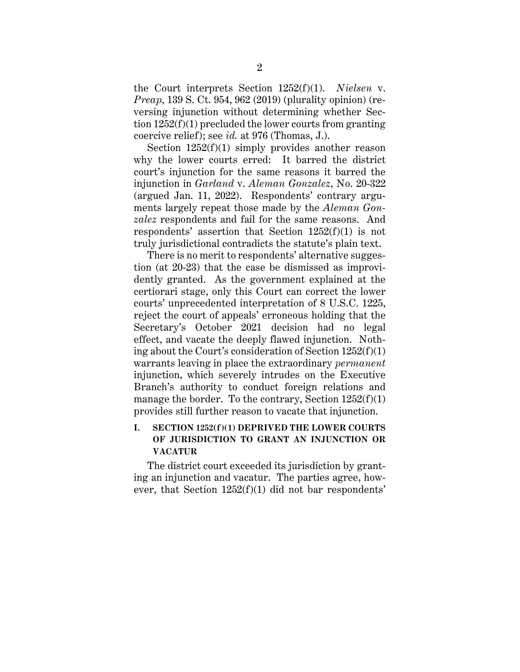the Court interprets Section 1252(f)(1). *Nielsen* v. *Preap*, 139 S. Ct. 954, 962 (2019) (plurality opinion) (reversing injunction without determining whether Section 1252(f)(1) precluded the lower courts from granting coercive relief); see *id.* at 976 (Thomas, J.).

Section  $1252(f)(1)$  simply provides another reason why the lower courts erred: It barred the district court's injunction for the same reasons it barred the injunction in *Garland* v. *Aleman Gonzalez*, No. 20-322 (argued Jan. 11, 2022). Respondents' contrary arguments largely repeat those made by the *Aleman Gonzalez* respondents and fail for the same reasons. And respondents' assertion that Section 1252(f)(1) is not truly jurisdictional contradicts the statute's plain text.

There is no merit to respondents' alternative suggestion (at 20-23) that the case be dismissed as improvidently granted. As the government explained at the certiorari stage, only this Court can correct the lower courts' unprecedented interpretation of 8 U.S.C. 1225, reject the court of appeals' erroneous holding that the Secretary's October 2021 decision had no legal effect, and vacate the deeply flawed injunction. Nothing about the Court's consideration of Section 1252(f)(1) warrants leaving in place the extraordinary *permanent* injunction, which severely intrudes on the Executive Branch's authority to conduct foreign relations and manage the border. To the contrary, Section  $1252(f)(1)$ provides still further reason to vacate that injunction.

# **I. SECTION 1252(f)(1) DEPRIVED THE LOWER COURTS OF JURISDICTION TO GRANT AN INJUNCTION OR VACATUR**

The district court exceeded its jurisdiction by granting an injunction and vacatur. The parties agree, however, that Section 1252(f)(1) did not bar respondents'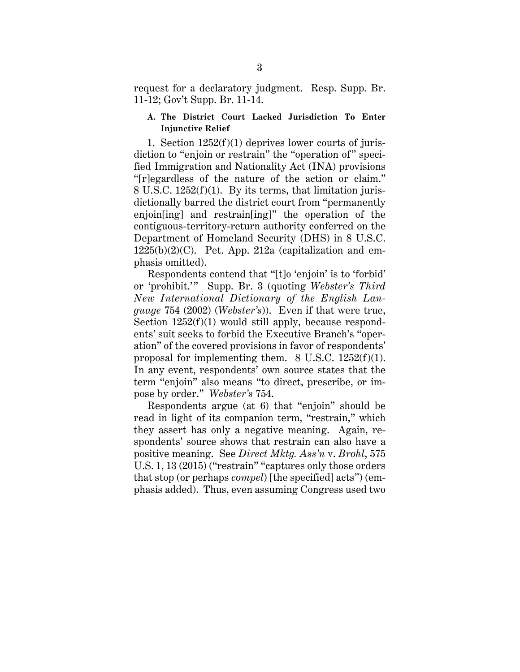request for a declaratory judgment. Resp. Supp. Br. 11-12; Gov't Supp. Br. 11-14.

### **A. The District Court Lacked Jurisdiction To Enter Injunctive Relief**

1. Section 1252(f)(1) deprives lower courts of jurisdiction to "enjoin or restrain" the "operation of" specified Immigration and Nationality Act (INA) provisions "[r]egardless of the nature of the action or claim." 8 U.S.C. 1252(f)(1). By its terms, that limitation jurisdictionally barred the district court from "permanently enjoin[ing] and restrain[ing]" the operation of the contiguous-territory-return authority conferred on the Department of Homeland Security (DHS) in 8 U.S.C.  $1225(b)(2)(C)$ . Pet. App. 212a (capitalization and emphasis omitted).

Respondents contend that "[t]o 'enjoin' is to 'forbid' or 'prohibit.'" Supp. Br. 3 (quoting *Webster's Third New International Dictionary of the English Language* 754 (2002) (*Webster's*)). Even if that were true, Section  $1252(f)(1)$  would still apply, because respondents' suit seeks to forbid the Executive Branch's "operation" of the covered provisions in favor of respondents' proposal for implementing them.  $8 \text{ U.S.C. } 1252(f)(1)$ . In any event, respondents' own source states that the term "enjoin" also means "to direct, prescribe, or impose by order." *Webster's* 754.

Respondents argue (at 6) that "enjoin" should be read in light of its companion term, "restrain," which they assert has only a negative meaning. Again, respondents' source shows that restrain can also have a positive meaning. See *Direct Mktg. Ass'n* v. *Brohl*, 575 U.S. 1, 13 (2015) ("restrain" "captures only those orders that stop (or perhaps *compel*) [the specified] acts") (emphasis added). Thus, even assuming Congress used two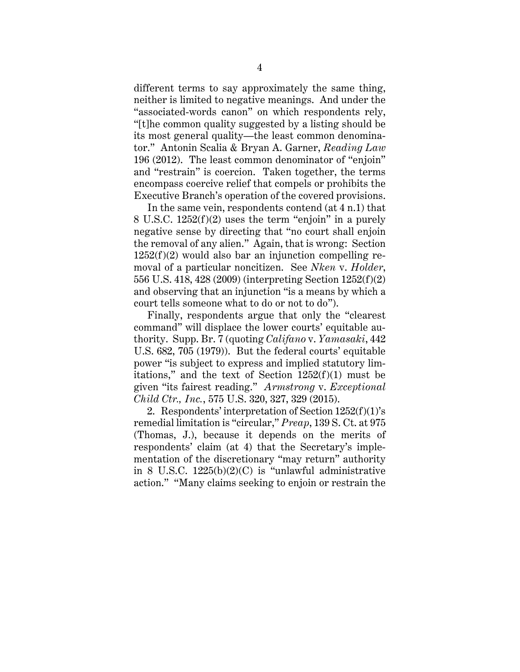different terms to say approximately the same thing, neither is limited to negative meanings. And under the "associated-words canon" on which respondents rely, "[t]he common quality suggested by a listing should be its most general quality—the least common denominator." Antonin Scalia & Bryan A. Garner, *Reading Law* 196 (2012). The least common denominator of "enjoin" and "restrain" is coercion. Taken together, the terms encompass coercive relief that compels or prohibits the Executive Branch's operation of the covered provisions.

In the same vein, respondents contend (at 4 n.1) that 8 U.S.C. 1252(f)(2) uses the term "enjoin" in a purely negative sense by directing that "no court shall enjoin the removal of any alien." Again, that is wrong: Section  $1252(f)(2)$  would also bar an injunction compelling removal of a particular noncitizen. See *Nken* v. *Holder*, 556 U.S. 418, 428 (2009) (interpreting Section 1252(f)(2) and observing that an injunction "is a means by which a court tells someone what to do or not to do").

Finally, respondents argue that only the "clearest command" will displace the lower courts' equitable authority. Supp. Br. 7 (quoting *Califano* v. *Yamasaki*, 442 U.S. 682, 705 (1979)). But the federal courts' equitable power "is subject to express and implied statutory limitations," and the text of Section  $1252(f)(1)$  must be given "its fairest reading." *Armstrong* v. *Exceptional Child Ctr., Inc.*, 575 U.S. 320, 327, 329 (2015).

2. Respondents' interpretation of Section 1252(f)(1)'s remedial limitation is "circular," *Preap*, 139 S. Ct. at 975 (Thomas, J.), because it depends on the merits of respondents' claim (at 4) that the Secretary's implementation of the discretionary "may return" authority in 8 U.S.C. 1225(b)(2)(C) is "unlawful administrative action." "Many claims seeking to enjoin or restrain the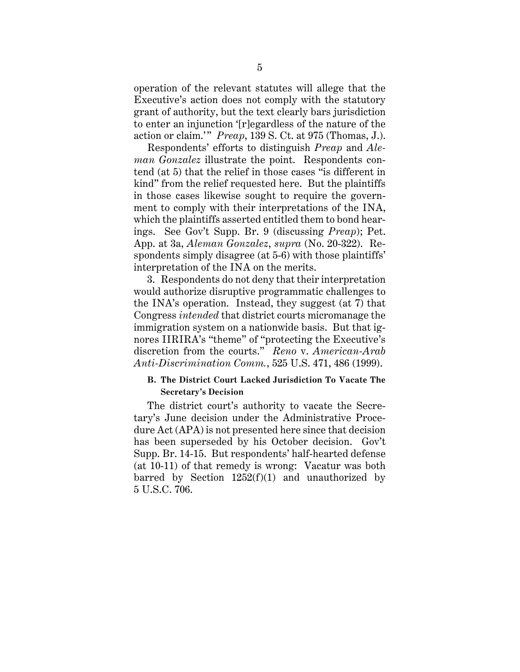operation of the relevant statutes will allege that the Executive's action does not comply with the statutory grant of authority, but the text clearly bars jurisdiction to enter an injunction '[r]egardless of the nature of the action or claim.'" *Preap*, 139 S. Ct. at 975 (Thomas, J.).

Respondents' efforts to distinguish *Preap* and *Aleman Gonzalez* illustrate the point. Respondents contend (at 5) that the relief in those cases "is different in kind" from the relief requested here. But the plaintiffs in those cases likewise sought to require the government to comply with their interpretations of the INA, which the plaintiffs asserted entitled them to bond hearings. See Gov't Supp. Br. 9 (discussing *Preap*); Pet. App. at 3a, *Aleman Gonzalez*, *supra* (No. 20-322). Respondents simply disagree (at 5-6) with those plaintiffs' interpretation of the INA on the merits.

3. Respondents do not deny that their interpretation would authorize disruptive programmatic challenges to the INA's operation. Instead, they suggest (at 7) that Congress *intended* that district courts micromanage the immigration system on a nationwide basis. But that ignores IIRIRA's "theme" of "protecting the Executive's discretion from the courts." *Reno* v. *American-Arab Anti-Discrimination Comm.*, 525 U.S. 471, 486 (1999).

#### **B. The District Court Lacked Jurisdiction To Vacate The Secretary's Decision**

The district court's authority to vacate the Secretary's June decision under the Administrative Procedure Act (APA) is not presented here since that decision has been superseded by his October decision. Gov't Supp. Br. 14-15. But respondents' half-hearted defense (at 10-11) of that remedy is wrong: Vacatur was both barred by Section  $1252(f)(1)$  and unauthorized by 5 U.S.C. 706.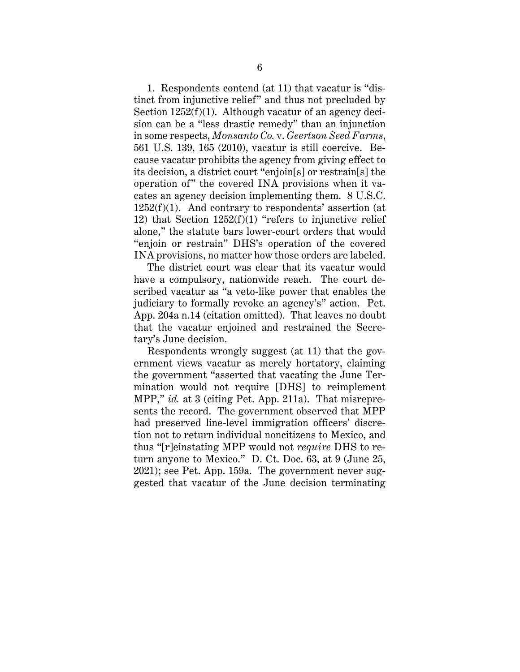1. Respondents contend (at 11) that vacatur is "distinct from injunctive relief" and thus not precluded by Section  $1252(f)(1)$ . Although vacatur of an agency decision can be a "less drastic remedy" than an injunction in some respects, *Monsanto Co.* v. *Geertson Seed Farms*, 561 U.S. 139, 165 (2010), vacatur is still coercive. Because vacatur prohibits the agency from giving effect to its decision, a district court "enjoin[s] or restrain[s] the operation of" the covered INA provisions when it vacates an agency decision implementing them. 8 U.S.C.  $1252(f)(1)$ . And contrary to respondents' assertion (at 12) that Section  $1252(f)(1)$  "refers to injunctive relief alone," the statute bars lower-court orders that would "enjoin or restrain" DHS's operation of the covered INA provisions, no matter how those orders are labeled.

The district court was clear that its vacatur would have a compulsory, nationwide reach. The court described vacatur as "a veto-like power that enables the judiciary to formally revoke an agency's" action. Pet. App. 204a n.14 (citation omitted). That leaves no doubt that the vacatur enjoined and restrained the Secretary's June decision.

Respondents wrongly suggest (at 11) that the government views vacatur as merely hortatory, claiming the government "asserted that vacating the June Termination would not require [DHS] to reimplement MPP," *id.* at 3 (citing Pet. App. 211a). That misrepresents the record. The government observed that MPP had preserved line-level immigration officers' discretion not to return individual noncitizens to Mexico, and thus "[r]einstating MPP would not *require* DHS to return anyone to Mexico." D. Ct. Doc. 63, at 9 (June 25, 2021); see Pet. App. 159a. The government never suggested that vacatur of the June decision terminating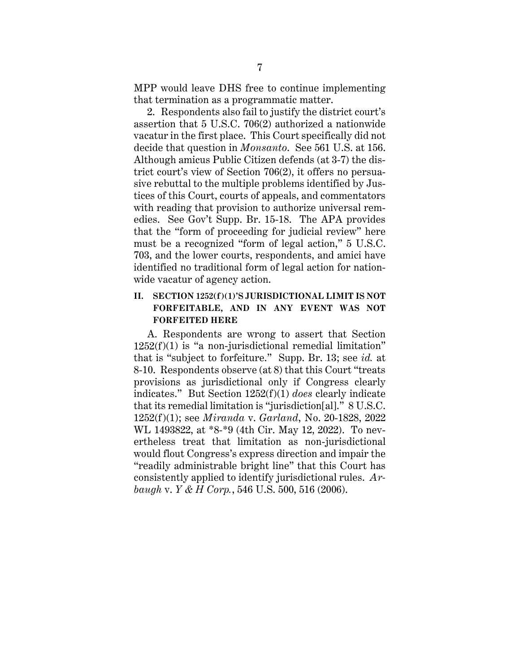MPP would leave DHS free to continue implementing that termination as a programmatic matter.

2. Respondents also fail to justify the district court's assertion that 5 U.S.C. 706(2) authorized a nationwide vacatur in the first place. This Court specifically did not decide that question in *Monsanto*. See 561 U.S. at 156. Although amicus Public Citizen defends (at 3-7) the district court's view of Section 706(2), it offers no persuasive rebuttal to the multiple problems identified by Justices of this Court, courts of appeals, and commentators with reading that provision to authorize universal remedies. See Gov't Supp. Br. 15-18. The APA provides that the "form of proceeding for judicial review" here must be a recognized "form of legal action," 5 U.S.C. 703, and the lower courts, respondents, and amici have identified no traditional form of legal action for nationwide vacatur of agency action.

### **II. SECTION 1252(f)(1)'S JURISDICTIONAL LIMIT IS NOT FORFEITABLE, AND IN ANY EVENT WAS NOT FORFEITED HERE**

A. Respondents are wrong to assert that Section  $1252(f)(1)$  is "a non-jurisdictional remedial limitation" that is "subject to forfeiture." Supp. Br. 13; see *id.* at 8-10. Respondents observe (at 8) that this Court "treats provisions as jurisdictional only if Congress clearly indicates." But Section 1252(f)(1) *does* clearly indicate that its remedial limitation is "jurisdiction[al]." 8 U.S.C. 1252(f)(1); see *Miranda* v. *Garland*, No. 20-1828, 2022 WL 1493822, at \*8-\*9 (4th Cir. May 12, 2022). To nevertheless treat that limitation as non-jurisdictional would flout Congress's express direction and impair the "readily administrable bright line" that this Court has consistently applied to identify jurisdictional rules. *Arbaugh* v. *Y & H Corp.*, 546 U.S. 500, 516 (2006).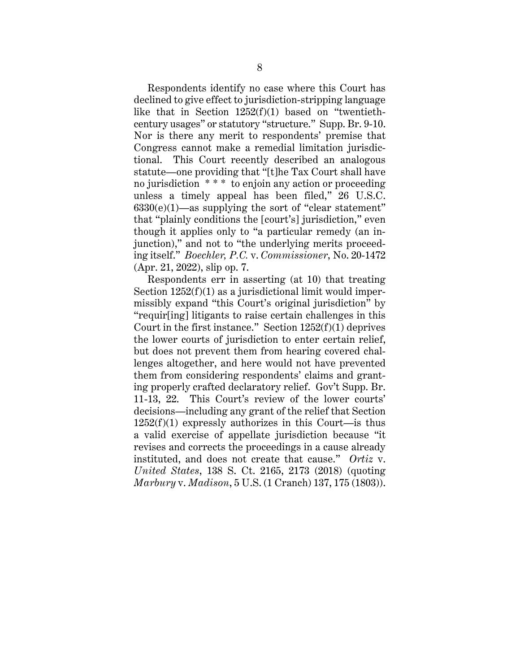Respondents identify no case where this Court has declined to give effect to jurisdiction-stripping language like that in Section 1252(f)(1) based on "twentiethcentury usages" or statutory "structure." Supp. Br. 9-10. Nor is there any merit to respondents' premise that Congress cannot make a remedial limitation jurisdictional. This Court recently described an analogous statute—one providing that "[t]he Tax Court shall have no jurisdiction \* \* \* to enjoin any action or proceeding unless a timely appeal has been filed," 26 U.S.C.  $6330(e)(1)$ —as supplying the sort of "clear statement" that "plainly conditions the [court's] jurisdiction," even though it applies only to "a particular remedy (an injunction)," and not to "the underlying merits proceeding itself." *Boechler, P.C.* v. *Commissioner*, No. 20-1472 (Apr. 21, 2022), slip op. 7.

Respondents err in asserting (at 10) that treating Section  $1252(f)(1)$  as a jurisdictional limit would impermissibly expand "this Court's original jurisdiction" by "requir[ing] litigants to raise certain challenges in this Court in the first instance." Section  $1252(f)(1)$  deprives the lower courts of jurisdiction to enter certain relief, but does not prevent them from hearing covered challenges altogether, and here would not have prevented them from considering respondents' claims and granting properly crafted declaratory relief. Gov't Supp. Br. 11-13, 22. This Court's review of the lower courts' decisions—including any grant of the relief that Section  $1252(f)(1)$  expressly authorizes in this Court—is thus a valid exercise of appellate jurisdiction because "it revises and corrects the proceedings in a cause already instituted, and does not create that cause." *Ortiz* v. *United States*, 138 S. Ct. 2165, 2173 (2018) (quoting *Marbury* v. *Madison*, 5 U.S. (1 Cranch) 137, 175 (1803)).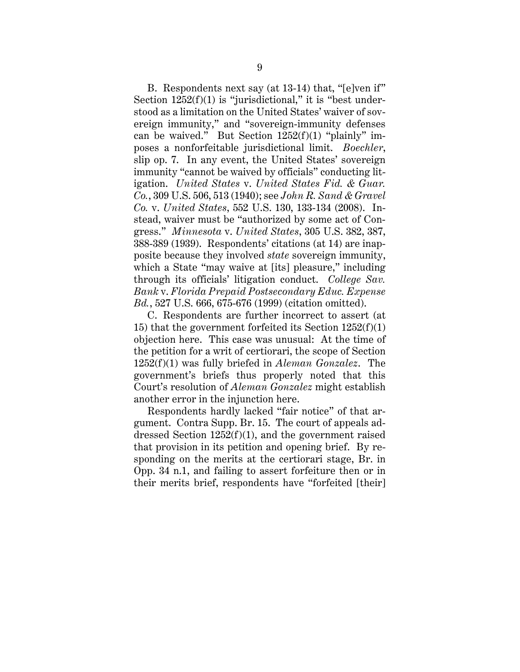B. Respondents next say (at 13-14) that, "[e]ven if" Section  $1252(f)(1)$  is "jurisdictional," it is "best understood as a limitation on the United States' waiver of sovereign immunity," and "sovereign-immunity defenses can be waived." But Section 1252(f)(1) "plainly" imposes a nonforfeitable jurisdictional limit. *Boechler*, slip op. 7. In any event, the United States' sovereign immunity "cannot be waived by officials" conducting litigation. *United States* v. *United States Fid. & Guar. Co.*, 309 U.S. 506, 513 (1940); see *John R. Sand & Gravel Co.* v. *United States*, 552 U.S. 130, 133-134 (2008). Instead, waiver must be "authorized by some act of Congress." *Minnesota* v. *United States*, 305 U.S. 382, 387, 388-389 (1939). Respondents' citations (at 14) are inapposite because they involved *state* sovereign immunity, which a State "may waive at [its] pleasure," including through its officials' litigation conduct. *College Sav. Bank* v. *Florida Prepaid Postsecondary Educ. Expense Bd.*, 527 U.S. 666, 675-676 (1999) (citation omitted).

C. Respondents are further incorrect to assert (at 15) that the government forfeited its Section 1252(f)(1) objection here. This case was unusual: At the time of the petition for a writ of certiorari, the scope of Section 1252(f)(1) was fully briefed in *Aleman Gonzalez*. The government's briefs thus properly noted that this Court's resolution of *Aleman Gonzalez* might establish another error in the injunction here.

Respondents hardly lacked "fair notice" of that argument. Contra Supp. Br. 15. The court of appeals addressed Section 1252(f)(1), and the government raised that provision in its petition and opening brief. By responding on the merits at the certiorari stage, Br. in Opp. 34 n.1, and failing to assert forfeiture then or in their merits brief, respondents have "forfeited [their]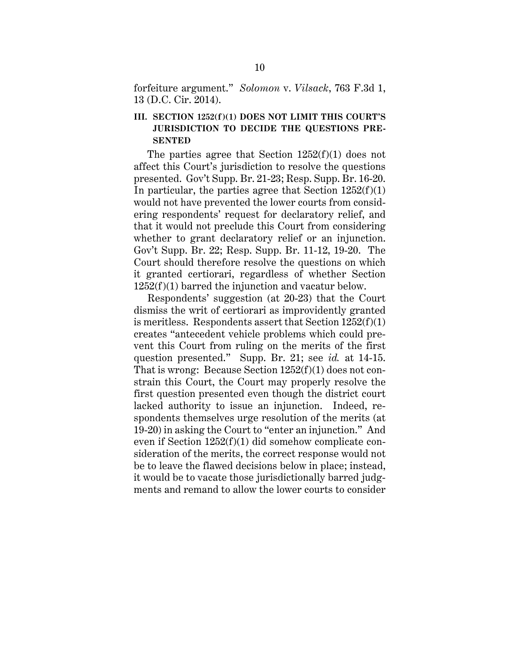forfeiture argument." *Solomon* v. *Vilsack*, 763 F.3d 1, 13 (D.C. Cir. 2014).

## **III. SECTION 1252(f)(1) DOES NOT LIMIT THIS COURT'S JURISDICTION TO DECIDE THE QUESTIONS PRE-SENTED**

The parties agree that Section 1252(f)(1) does not affect this Court's jurisdiction to resolve the questions presented. Gov't Supp. Br. 21-23; Resp. Supp. Br. 16-20. In particular, the parties agree that Section  $1252(f)(1)$ would not have prevented the lower courts from considering respondents' request for declaratory relief, and that it would not preclude this Court from considering whether to grant declaratory relief or an injunction. Gov't Supp. Br. 22; Resp. Supp. Br. 11-12, 19-20. The Court should therefore resolve the questions on which it granted certiorari, regardless of whether Section  $1252(f)(1)$  barred the injunction and vacatur below.

Respondents' suggestion (at 20-23) that the Court dismiss the writ of certiorari as improvidently granted is meritless. Respondents assert that Section  $1252(f)(1)$ creates "antecedent vehicle problems which could prevent this Court from ruling on the merits of the first question presented." Supp. Br. 21; see *id.* at 14-15. That is wrong: Because Section 1252(f)(1) does not constrain this Court, the Court may properly resolve the first question presented even though the district court lacked authority to issue an injunction. Indeed, respondents themselves urge resolution of the merits (at 19-20) in asking the Court to "enter an injunction." And even if Section 1252(f)(1) did somehow complicate consideration of the merits, the correct response would not be to leave the flawed decisions below in place; instead, it would be to vacate those jurisdictionally barred judgments and remand to allow the lower courts to consider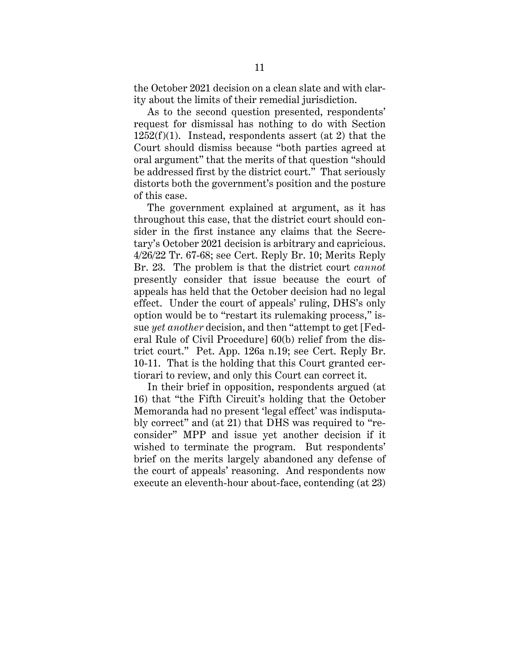the October 2021 decision on a clean slate and with clarity about the limits of their remedial jurisdiction.

As to the second question presented, respondents' request for dismissal has nothing to do with Section  $1252(f)(1)$ . Instead, respondents assert (at 2) that the Court should dismiss because "both parties agreed at oral argument" that the merits of that question "should be addressed first by the district court." That seriously distorts both the government's position and the posture of this case.

The government explained at argument, as it has throughout this case, that the district court should consider in the first instance any claims that the Secretary's October 2021 decision is arbitrary and capricious. 4/26/22 Tr. 67-68; see Cert. Reply Br. 10; Merits Reply Br. 23. The problem is that the district court *cannot* presently consider that issue because the court of appeals has held that the October decision had no legal effect. Under the court of appeals' ruling, DHS's only option would be to "restart its rulemaking process," issue *yet another* decision, and then "attempt to get [Federal Rule of Civil Procedure] 60(b) relief from the district court." Pet. App. 126a n.19; see Cert. Reply Br. 10-11. That is the holding that this Court granted certiorari to review, and only this Court can correct it.

In their brief in opposition, respondents argued (at 16) that "the Fifth Circuit's holding that the October Memoranda had no present 'legal effect' was indisputably correct" and (at 21) that DHS was required to "reconsider" MPP and issue yet another decision if it wished to terminate the program. But respondents' brief on the merits largely abandoned any defense of the court of appeals' reasoning. And respondents now execute an eleventh-hour about-face, contending (at 23)